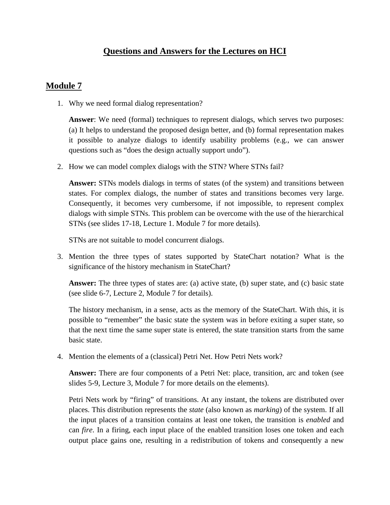## **Questions and Answers for the Lectures on HCI**

## **Module 7**

1. Why we need formal dialog representation?

**Answer**: We need (formal) techniques to represent dialogs, which serves two purposes: (a) It helps to understand the proposed design better, and (b) formal representation makes it possible to analyze dialogs to identify usability problems (e.g., we can answer questions such as "does the design actually support undo").

2. How we can model complex dialogs with the STN? Where STNs fail?

**Answer:** STNs models dialogs in terms of states (of the system) and transitions between states. For complex dialogs, the number of states and transitions becomes very large. Consequently, it becomes very cumbersome, if not impossible, to represent complex dialogs with simple STNs. This problem can be overcome with the use of the hierarchical STNs (see slides 17-18, Lecture 1. Module 7 for more details).

STNs are not suitable to model concurrent dialogs.

3. Mention the three types of states supported by StateChart notation? What is the significance of the history mechanism in StateChart?

**Answer:** The three types of states are: (a) active state, (b) super state, and (c) basic state (see slide 6-7, Lecture 2, Module 7 for details).

The history mechanism, in a sense, acts as the memory of the StateChart. With this, it is possible to "remember" the basic state the system was in before exiting a super state, so that the next time the same super state is entered, the state transition starts from the same basic state.

4. Mention the elements of a (classical) Petri Net. How Petri Nets work?

**Answer:** There are four components of a Petri Net: place, transition, arc and token (see slides 5-9, Lecture 3, Module 7 for more details on the elements).

Petri Nets work by "firing" of transitions. At any instant, the tokens are distributed over places. This distribution represents the *state* (also known as *marking*) of the system. If all the input places of a transition contains at least one token, the transition is *enabled* and can *fire*. In a firing, each input place of the enabled transition loses one token and each output place gains one, resulting in a redistribution of tokens and consequently a new